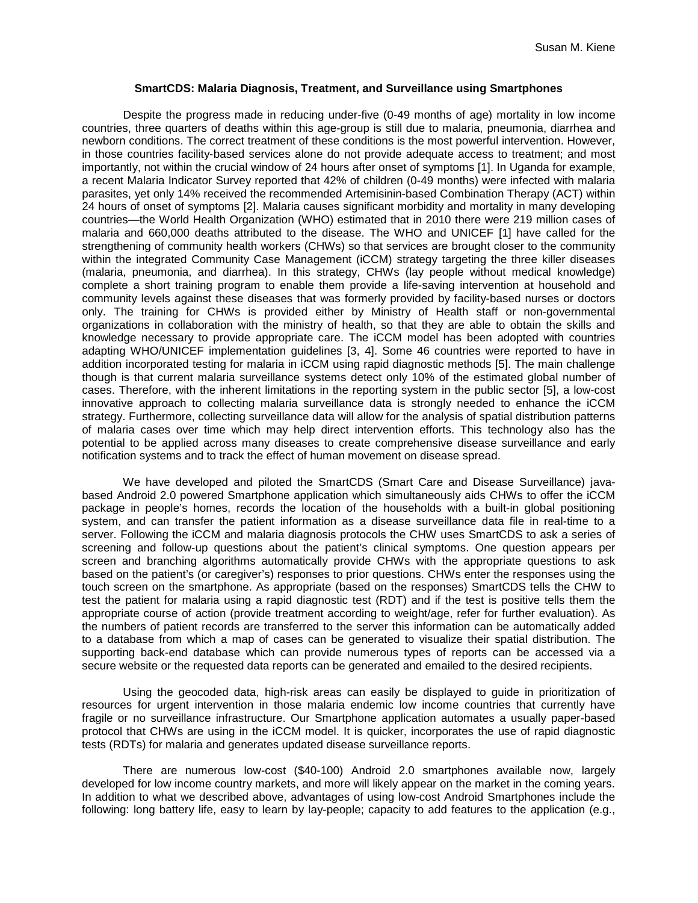## **SmartCDS: Malaria Diagnosis, Treatment, and Surveillance using Smartphones**

Despite the progress made in reducing under-five (0-49 months of age) mortality in low income countries, three quarters of deaths within this age-group is still due to malaria, pneumonia, diarrhea and newborn conditions. The correct treatment of these conditions is the most powerful intervention. However, in those countries facility-based services alone do not provide adequate access to treatment; and most importantly, not within the crucial window of 24 hours after onset of symptoms [1]. In Uganda for example, a recent Malaria Indicator Survey reported that 42% of children (0-49 months) were infected with malaria parasites, yet only 14% received the recommended Artemisinin-based Combination Therapy (ACT) within 24 hours of onset of symptoms [2]. Malaria causes significant morbidity and mortality in many developing countries—the World Health Organization (WHO) estimated that in 2010 there were 219 million cases of malaria and 660,000 deaths attributed to the disease. The WHO and UNICEF [1] have called for the strengthening of community health workers (CHWs) so that services are brought closer to the community within the integrated Community Case Management (iCCM) strategy targeting the three killer diseases (malaria, pneumonia, and diarrhea). In this strategy, CHWs (lay people without medical knowledge) complete a short training program to enable them provide a life-saving intervention at household and community levels against these diseases that was formerly provided by facility-based nurses or doctors only. The training for CHWs is provided either by Ministry of Health staff or non-governmental organizations in collaboration with the ministry of health, so that they are able to obtain the skills and knowledge necessary to provide appropriate care. The iCCM model has been adopted with countries adapting WHO/UNICEF implementation guidelines [3, 4]. Some 46 countries were reported to have in addition incorporated testing for malaria in iCCM using rapid diagnostic methods [5]. The main challenge though is that current malaria surveillance systems detect only 10% of the estimated global number of cases. Therefore, with the inherent limitations in the reporting system in the public sector [5], a low-cost innovative approach to collecting malaria surveillance data is strongly needed to enhance the iCCM strategy. Furthermore, collecting surveillance data will allow for the analysis of spatial distribution patterns of malaria cases over time which may help direct intervention efforts. This technology also has the potential to be applied across many diseases to create comprehensive disease surveillance and early notification systems and to track the effect of human movement on disease spread.

We have developed and piloted the SmartCDS (Smart Care and Disease Surveillance) javabased Android 2.0 powered Smartphone application which simultaneously aids CHWs to offer the iCCM package in people's homes, records the location of the households with a built-in global positioning system, and can transfer the patient information as a disease surveillance data file in real-time to a server. Following the iCCM and malaria diagnosis protocols the CHW uses SmartCDS to ask a series of screening and follow-up questions about the patient's clinical symptoms. One question appears per screen and branching algorithms automatically provide CHWs with the appropriate questions to ask based on the patient's (or caregiver's) responses to prior questions. CHWs enter the responses using the touch screen on the smartphone. As appropriate (based on the responses) SmartCDS tells the CHW to test the patient for malaria using a rapid diagnostic test (RDT) and if the test is positive tells them the appropriate course of action (provide treatment according to weight/age, refer for further evaluation). As the numbers of patient records are transferred to the server this information can be automatically added to a database from which a map of cases can be generated to visualize their spatial distribution. The supporting back-end database which can provide numerous types of reports can be accessed via a secure website or the requested data reports can be generated and emailed to the desired recipients.

Using the geocoded data, high-risk areas can easily be displayed to guide in prioritization of resources for urgent intervention in those malaria endemic low income countries that currently have fragile or no surveillance infrastructure. Our Smartphone application automates a usually paper-based protocol that CHWs are using in the iCCM model. It is quicker, incorporates the use of rapid diagnostic tests (RDTs) for malaria and generates updated disease surveillance reports.

There are numerous low-cost (\$40-100) Android 2.0 smartphones available now, largely developed for low income country markets, and more will likely appear on the market in the coming years. In addition to what we described above, advantages of using low-cost Android Smartphones include the following: long battery life, easy to learn by lay-people; capacity to add features to the application (e.g.,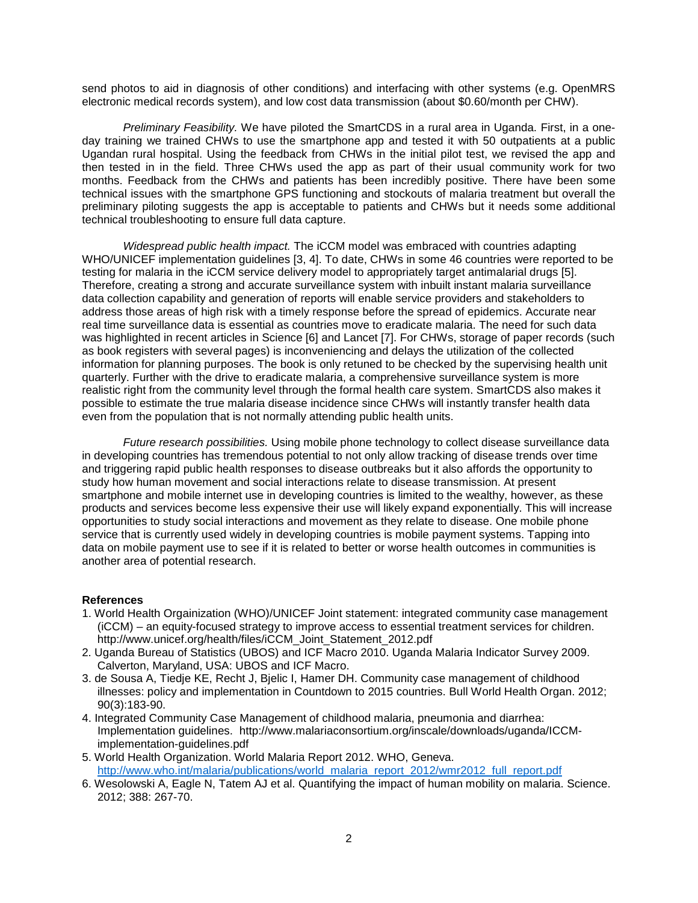send photos to aid in diagnosis of other conditions) and interfacing with other systems (e.g. OpenMRS electronic medical records system), and low cost data transmission (about \$0.60/month per CHW).

*Preliminary Feasibility.* We have piloted the SmartCDS in a rural area in Uganda. First, in a oneday training we trained CHWs to use the smartphone app and tested it with 50 outpatients at a public Ugandan rural hospital. Using the feedback from CHWs in the initial pilot test, we revised the app and then tested in in the field. Three CHWs used the app as part of their usual community work for two months. Feedback from the CHWs and patients has been incredibly positive. There have been some technical issues with the smartphone GPS functioning and stockouts of malaria treatment but overall the preliminary piloting suggests the app is acceptable to patients and CHWs but it needs some additional technical troubleshooting to ensure full data capture.

*Widespread public health impact.* The iCCM model was embraced with countries adapting WHO/UNICEF implementation guidelines [3, 4]. To date, CHWs in some 46 countries were reported to be testing for malaria in the iCCM service delivery model to appropriately target antimalarial drugs [5]. Therefore, creating a strong and accurate surveillance system with inbuilt instant malaria surveillance data collection capability and generation of reports will enable service providers and stakeholders to address those areas of high risk with a timely response before the spread of epidemics. Accurate near real time surveillance data is essential as countries move to eradicate malaria. The need for such data was highlighted in recent articles in Science [6] and Lancet [7]. For CHWs, storage of paper records (such as book registers with several pages) is inconveniencing and delays the utilization of the collected information for planning purposes. The book is only retuned to be checked by the supervising health unit quarterly. Further with the drive to eradicate malaria, a comprehensive surveillance system is more realistic right from the community level through the formal health care system. SmartCDS also makes it possible to estimate the true malaria disease incidence since CHWs will instantly transfer health data even from the population that is not normally attending public health units.

*Future research possibilities.* Using mobile phone technology to collect disease surveillance data in developing countries has tremendous potential to not only allow tracking of disease trends over time and triggering rapid public health responses to disease outbreaks but it also affords the opportunity to study how human movement and social interactions relate to disease transmission. At present smartphone and mobile internet use in developing countries is limited to the wealthy, however, as these products and services become less expensive their use will likely expand exponentially. This will increase opportunities to study social interactions and movement as they relate to disease. One mobile phone service that is currently used widely in developing countries is mobile payment systems. Tapping into data on mobile payment use to see if it is related to better or worse health outcomes in communities is another area of potential research.

## **References**

- 1. World Health Orgainization (WHO)/UNICEF Joint statement: integrated community case management (iCCM) – an equity-focused strategy to improve access to essential treatment services for children. [http://www.unicef.org/health/files/iCCM\\_Joint\\_Statement\\_2012.pdf](http://www.unicef.org/health/files/iCCM_Joint_Statement_2012.pdf)
- 2. Uganda Bureau of Statistics (UBOS) and ICF Macro 2010. Uganda Malaria Indicator Survey 2009. Calverton, Maryland, USA: UBOS and ICF Macro.
- 3. [de Sousa A,](http://www.ncbi.nlm.nih.gov/pubmed?term=de%20Sousa%20A%5BAuthor%5D&cauthor=true&cauthor_uid=22461713) [Tiedje KE,](http://www.ncbi.nlm.nih.gov/pubmed?term=Tiedje%20KE%5BAuthor%5D&cauthor=true&cauthor_uid=22461713) [Recht J,](http://www.ncbi.nlm.nih.gov/pubmed?term=Recht%20J%5BAuthor%5D&cauthor=true&cauthor_uid=22461713) [Bjelic I,](http://www.ncbi.nlm.nih.gov/pubmed?term=Bjelic%20I%5BAuthor%5D&cauthor=true&cauthor_uid=22461713) [Hamer DH.](http://www.ncbi.nlm.nih.gov/pubmed?term=Hamer%20DH%5BAuthor%5D&cauthor=true&cauthor_uid=22461713) Community case management of childhood illnesses: policy and implementation in Countdown to 2015 countries. [Bull World Health Organ.](http://www.ncbi.nlm.nih.gov/pubmed/?term=Community+case+management+of+childhood+illnesses%3A+policy+and+implementation+in+Countdown+to+2015+countries) 2012; 90(3):183-90.
- 4. Integrated Community Case Management of childhood malaria, pneumonia and diarrhea: Implementation guidelines. [http://www.malariaconsortium.org/inscale/downloads/uganda/ICCM](http://www.malariaconsortium.org/inscale/downloads/uganda/ICCM-implementation-guidelines.pdf)[implementation-guidelines.pdf](http://www.malariaconsortium.org/inscale/downloads/uganda/ICCM-implementation-guidelines.pdf)
- 5. World Health Organization. World Malaria Report 2012. WHO, Geneva. [http://www.who.int/malaria/publications/world\\_malaria\\_report\\_2012/wmr2012\\_full\\_report.pdf](http://www.who.int/malaria/publications/world_malaria_report_2012/wmr2012_full_report.pdf)
- 6. Wesolowski A, Eagle N, Tatem AJ et al. Quantifying the impact of human mobility on malaria. Science. 2012; 388: 267-70.